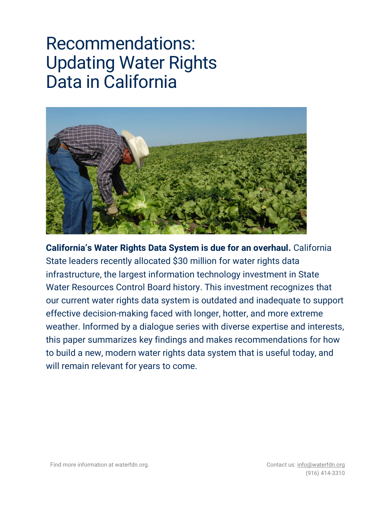# Recommendations: Updating Water Rights Data in California



**California's Water Rights Data System is due for an overhaul.** California State leaders recently allocated \$30 million for water rights data infrastructure, the largest information technology investment in State Water Resources Control Board history. This investment recognizes that our current water rights data system is outdated and inadequate to support effective decision-making faced with longer, hotter, and more extreme weather. Informed by a dialogue series with diverse expertise and interests, this paper summarizes key findings and makes recommendations for how to build a new, modern water rights data system that is useful today, and will remain relevant for years to come.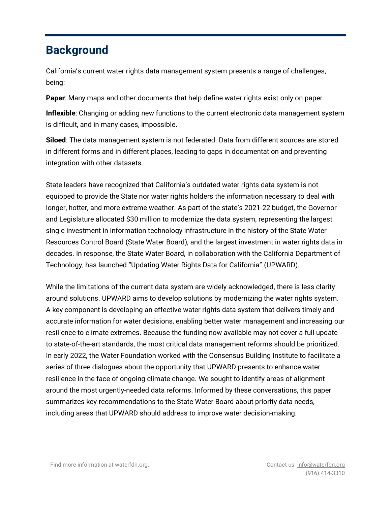### **Background**

California's current water rights data management system presents a range of challenges, being:

**Paper**: Many maps and other documents that help define water rights exist only on paper.

**Inflexible**: Changing or adding new functions to the current electronic data management system is difficult, and in many cases, impossible.

**Siloed**: The data management system is not federated. Data from different sources are stored in different forms and in different places, leading to gaps in documentation and preventing integration with other datasets.

State leaders have recognized that California's outdated water rights data system is not equipped to provide the State nor water rights holders the information necessary to deal with longer, hotter, and more extreme weather. As part of the state's 2021-22 budget, the Governor and Legislature allocated \$30 million to modernize the data system, representing the largest single investment in information technology infrastructure in the history of the State Water Resources Control Board (State Water Board), and the largest investment in water rights data in decades. In response, the State Water Board, in collaboration with the California Department of Technology, has launched "Updating Water Rights Data for California" (UPWARD).

While the limitations of the current data system are widely acknowledged, there is less clarity around solutions. UPWARD aims to develop solutions by modernizing the water rights system. A key component is developing an effective water rights data system that delivers timely and accurate information for water decisions, enabling better water management and increasing our resilience to climate extremes. Because the funding now available may not cover a full update to state-of-the-art standards, the most critical data management reforms should be prioritized. In early 2022, the Water Foundation worked with the Consensus Building Institute to facilitate a series of three dialogues about the opportunity that UPWARD presents to enhance water resilience in the face of ongoing climate change. We sought to identify areas of alignment around the most urgently-needed data reforms. Informed by these conversations, this paper summarizes key recommendations to the State Water Board about priority data needs, including areas that UPWARD should address to improve water decision-making.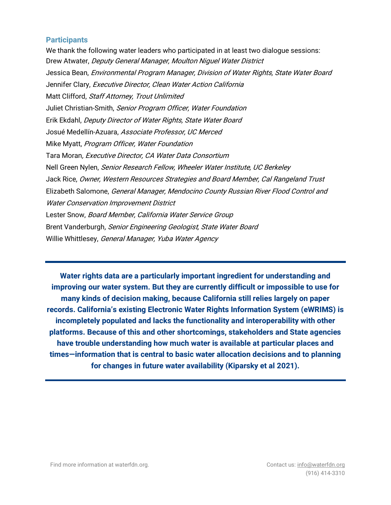#### **Participants**

We thank the following water leaders who participated in at least two dialogue sessions: Drew Atwater, Deputy General Manager, Moulton Niguel Water District Jessica Bean, *Environmental Program Manager, Division of Water Rights, State Water Board* Jennifer Clary, Executive Director, Clean Water Action California Matt Clifford, Staff Attorney, Trout Unlimited Juliet Christian-Smith, Senior Program Officer, Water Foundation Erik Ekdahl, Deputy Director of Water Rights, State Water Board Josué Medellín-Azuara, Associate Professor, UC Merced Mike Myatt, Program Officer, Water Foundation Tara Moran, Executive Director, CA Water Data Consortium Nell Green Nylen, Senior Research Fellow, Wheeler Water Institute, UC Berkeley Jack Rice, Owner, Western Resources Strategies and Board Member, Cal Rangeland Trust Elizabeth Salomone, General Manager, Mendocino County Russian River Flood Control and Water Conservation Improvement District Lester Snow, Board Member, California Water Service Group Brent Vanderburgh, Senior Engineering Geologist, State Water Board Willie Whittlesey, General Manager, Yuba Water Agency

**Water rights data are a particularly important ingredient for understanding and improving our water system. But they are currently difficult or impossible to use for many kinds of decision making, because California still relies largely on paper records. California's existing Electronic Water Rights Information System (eWRIMS) is incompletely populated and lacks the functionality and interoperability with other platforms. Because of this and other shortcomings, stakeholders and State agencies have trouble understanding how much water is available at particular places and times—information that is central to basic water allocation decisions and to planning for changes in future water availability (Kiparsky et al 2021).**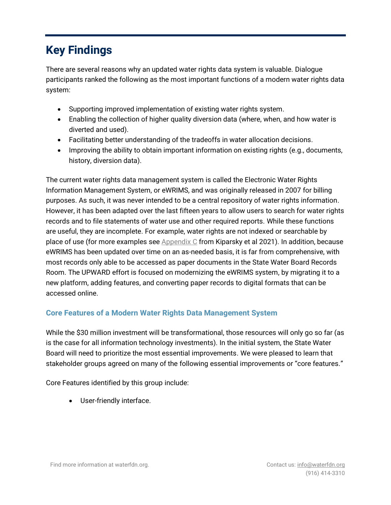## **Key Findings**

There are several reasons why an updated water rights data system is valuable. Dialogue participants ranked the following as the most important functions of a modern water rights data system:

- Supporting improved implementation of existing water rights system.
- Enabling the collection of higher quality diversion data (where, when, and how water is diverted and used).
- Facilitating better understanding of the tradeoffs in water allocation decisions.
- Improving the ability to obtain important information on existing rights (e.g., documents, history, diversion data).

The current water rights data management system is called the Electronic Water Rights Information Management System, or eWRIMS, and was originally released in 2007 for billing purposes. As such, it was never intended to be a central repository of water rights information. However, it has been adapted over the last fifteen years to allow users to search for water rights records and to file statements of water use and other required reports. While these functions are useful, they are incomplete. For example, water rights are not indexed or searchable by place of use (for more examples see [Appendix C](https://www.law.berkeley.edu/wp-content/uploads/2021/07/Piloting-a-Water-Rights-Information-System-for-California-July-2021.pdf) from Kiparsky et al 2021). In addition, because eWRIMS has been updated over time on an as-needed basis, it is far from comprehensive, with most records only able to be accessed as paper documents in the State Water Board Records Room. The UPWARD effort is focused on modernizing the eWRIMS system, by migrating it to a new platform, adding features, and converting paper records to digital formats that can be accessed online.

#### **Core Features of a Modern Water Rights Data Management System**

While the \$30 million investment will be transformational, those resources will only go so far (as is the case for all information technology investments). In the initial system, the State Water Board will need to prioritize the most essential improvements. We were pleased to learn that stakeholder groups agreed on many of the following essential improvements or "core features."

Core Features identified by this group include:

• User-friendly interface.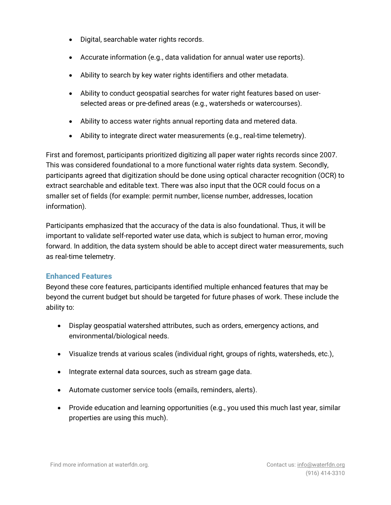- Digital, searchable water rights records.
- Accurate information (e.g., data validation for annual water use reports).
- Ability to search by key water rights identifiers and other metadata.
- Ability to conduct geospatial searches for water right features based on userselected areas or pre-defined areas (e.g., watersheds or watercourses).
- Ability to access water rights annual reporting data and metered data.
- Ability to integrate direct water measurements (e.g., real-time telemetry).

First and foremost, participants prioritized digitizing all paper water rights records since 2007. This was considered foundational to a more functional water rights data system. Secondly, participants agreed that digitization should be done using optical character recognition (OCR) to extract searchable and editable text. There was also input that the OCR could focus on a smaller set of fields (for example: permit number, license number, addresses, location information).

Participants emphasized that the accuracy of the data is also foundational. Thus, it will be important to validate self-reported water use data, which is subject to human error, moving forward. In addition, the data system should be able to accept direct water measurements, such as real-time telemetry.

#### **Enhanced Features**

Beyond these core features, participants identified multiple enhanced features that may be beyond the current budget but should be targeted for future phases of work. These include the ability to:

- Display geospatial watershed attributes, such as orders, emergency actions, and environmental/biological needs.
- Visualize trends at various scales (individual right, groups of rights, watersheds, etc.),
- Integrate external data sources, such as stream gage data.
- Automate customer service tools (emails, reminders, alerts).
- Provide education and learning opportunities (e.g., you used this much last year, similar properties are using this much).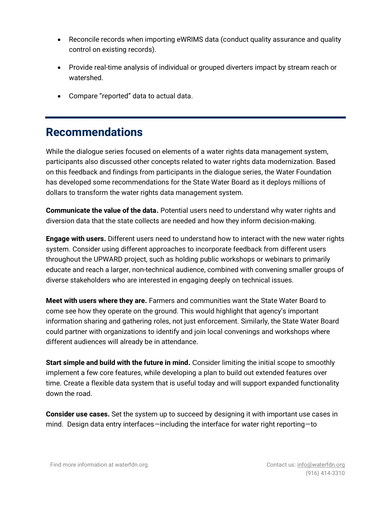- Reconcile records when importing eWRIMS data (conduct quality assurance and quality control on existing records).
- Provide real-time analysis of individual or grouped diverters impact by stream reach or watershed.
- Compare "reported" data to actual data.

## **Recommendations**

While the dialogue series focused on elements of a water rights data management system, participants also discussed other concepts related to water rights data modernization. Based on this feedback and findings from participants in the dialogue series, the Water Foundation has developed some recommendations for the State Water Board as it deploys millions of dollars to transform the water rights data management system.

**Communicate the value of the data.** Potential users need to understand why water rights and diversion data that the state collects are needed and how they inform decision-making.

**Engage with users.** Different users need to understand how to interact with the new water rights system. Consider using different approaches to incorporate feedback from different users throughout the UPWARD project, such as holding public workshops or webinars to primarily educate and reach a larger, non-technical audience, combined with convening smaller groups of diverse stakeholders who are interested in engaging deeply on technical issues.

**Meet with users where they are.** Farmers and communities want the State Water Board to come see how they operate on the ground. This would highlight that agency's important information sharing and gathering roles, not just enforcement. Similarly, the State Water Board could partner with organizations to identify and join local convenings and workshops where different audiences will already be in attendance.

**Start simple and build with the future in mind.** Consider limiting the initial scope to smoothly implement a few core features, while developing a plan to build out extended features over time. Create a flexible data system that is useful today and will support expanded functionality down the road.

**Consider use cases.** Set the system up to succeed by designing it with important use cases in mind. Design data entry interfaces—including the interface for water right reporting—to